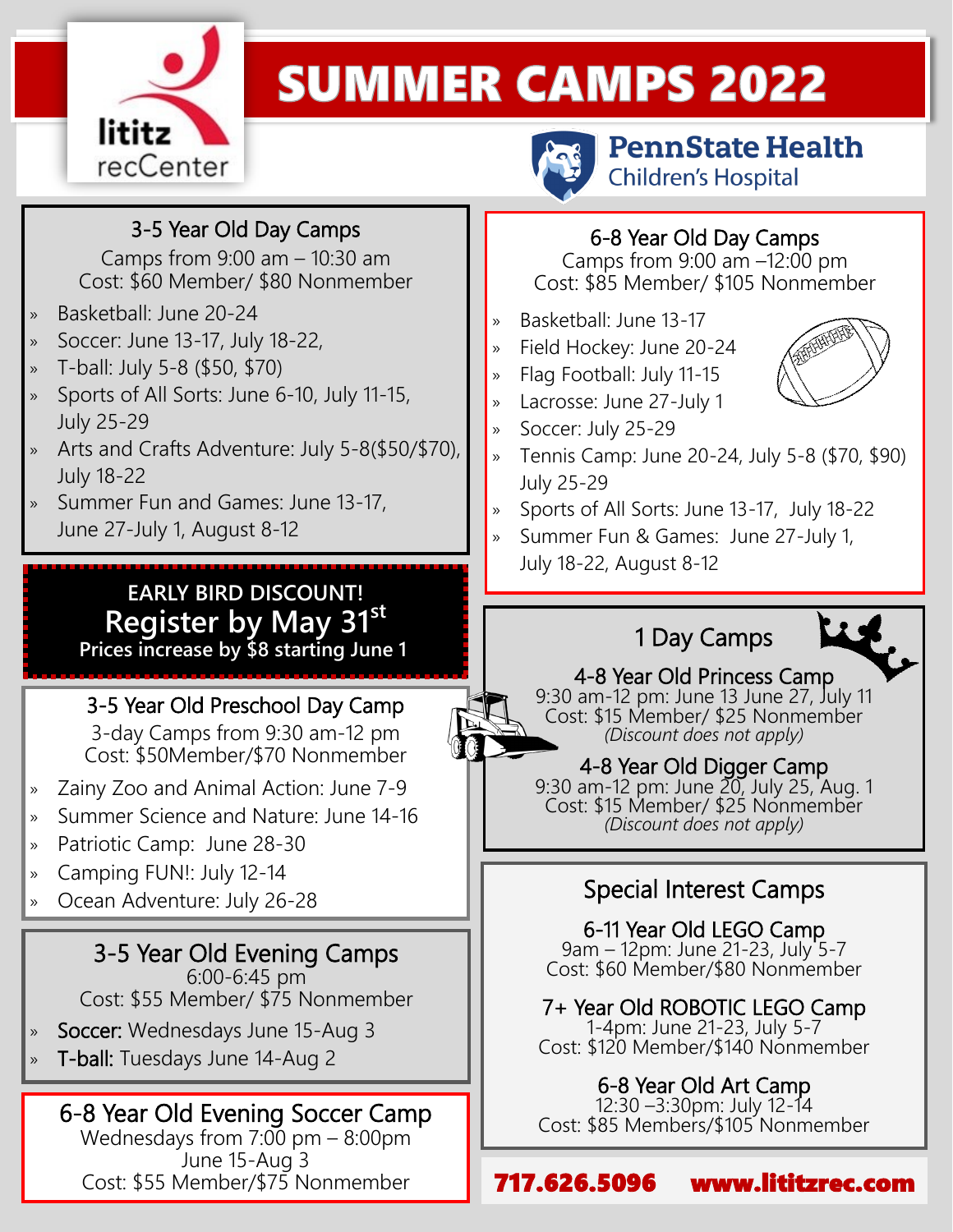

# **SUMMER CAMPS 2022**

#### 3-5 Year Old Day Camps

 Camps from 9:00 am – 10:30 am Cost: \$60 Member/ \$80 Nonmember

- » Basketball: June 20-24
- » Soccer: June 13-17, July 18-22,
- » T-ball: July 5-8 (\$50, \$70)
- » Sports of All Sorts: June 6-10, July 11-15, July 25-29
- » Arts and Crafts Adventure: July 5-8(\$50/\$70), July 18-22
- » Summer Fun and Games: June 13-17, June 27-July 1, August 8-12

#### **EARLY BIRD DISCOUNT! Register by May 31st Prices increase by \$8 starting June 1<sup>t</sup>**

3-5 Year Old Preschool Day Camp

3-day Camps from 9:30 am-12 pm Cost: \$50Member/\$70 Nonmember

- » Zainy Zoo and Animal Action: June 7-9
- » Summer Science and Nature: June 14-16
- » Patriotic Camp: June 28-30
- » Camping FUN!: July 12-14
- » Ocean Adventure: July 26-28

#### 3-5 Year Old Evening Camps

6:00-6:45 pm Cost: \$55 Member/ \$75 Nonmember

- Soccer: Wednesdays June 15-Aug 3
- » T-ball: Tuesdays June 14-Aug 2

#### 6-8 Year Old Evening Soccer Camp

Wednesdays from 7:00 pm – 8:00pm June 15-Aug 3 Cost: \$55 Member/\$75 Nonmember



**PennState Health Children's Hospital** 



Camps from 9:00 am –12:00 pm Cost: \$85 Member/ \$105 Nonmember

- » Basketball: June 13-17
- » Field Hockey: June 20-24
- » Flag Football: July 11-15
- » Lacrosse: June 27-July 1
- » Soccer: July 25-29
- » Tennis Camp: June 20-24, July 5-8 (\$70, \$90) July 25-29
- » Sports of All Sorts: June 13-17, July 18-22
- » Summer Fun & Games: June 27-July 1, July 18-22, August 8-12

## 1 Day Camps



4-8 Year Old Princess Camp 9:30 am-12 pm: June 13 June 27, July 11 Cost: \$15 Member/ \$25 Nonmember *(Discount does not apply)*

4-8 Year Old Digger Camp 9:30 am-12 pm: June 20, July 25, Aug. 1 Cost: \$15 Member/ \$25 Nonmember *(Discount does not apply)*

### Special Interest Camps

6-11 Year Old LEGO Camp 9am – 12pm: June 21-23, July 5-7 Cost: \$60 Member/\$80 Nonmember

7+ Year Old ROBOTIC LEGO Camp 1-4pm: June 21-23, July 5-7 Cost: \$120 Member/\$140 Nonmember

#### 6-8 Year Old Art Camp

12:30 –3:30pm: July 12-14 Cost: \$85 Members/\$105 Nonmember

717.626.5096 www.lititzrec.com